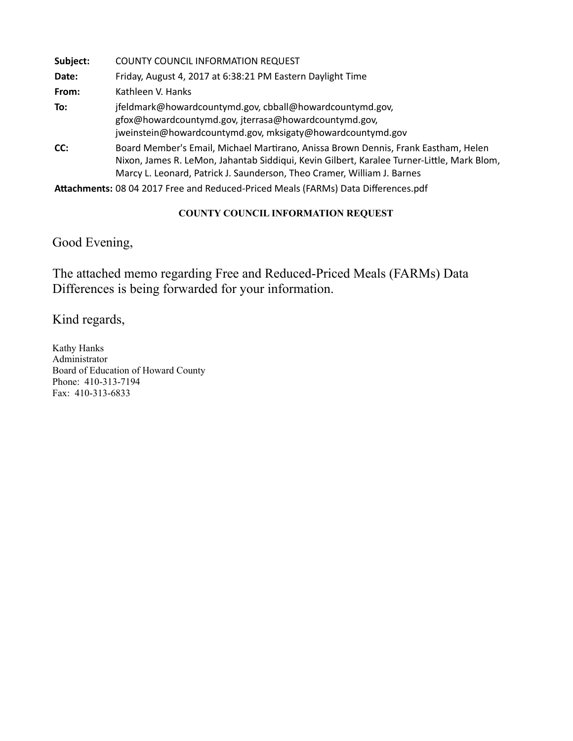| Subject: | <b>COUNTY COUNCIL INFORMATION REQUEST</b>                                                                                                                                                                                                                   |
|----------|-------------------------------------------------------------------------------------------------------------------------------------------------------------------------------------------------------------------------------------------------------------|
| Date:    | Friday, August 4, 2017 at 6:38:21 PM Eastern Daylight Time                                                                                                                                                                                                  |
| From:    | Kathleen V. Hanks                                                                                                                                                                                                                                           |
| To:      | jfeldmark@howardcountymd.gov, cbball@howardcountymd.gov,<br>gfox@howardcountymd.gov, jterrasa@howardcountymd.gov,<br>jweinstein@howardcountymd.gov, mksigaty@howardcountymd.gov                                                                             |
| CC:      | Board Member's Email, Michael Martirano, Anissa Brown Dennis, Frank Eastham, Helen<br>Nixon, James R. LeMon, Jahantab Siddiqui, Kevin Gilbert, Karalee Turner-Little, Mark Blom,<br>Marcy L. Leonard, Patrick J. Saunderson, Theo Cramer, William J. Barnes |

Attachments: 08 04 2017 Free and Reduced-Priced Meals (FARMs) Data Differences.pdf

#### **COUNTY COUNCIL INFORMATION REQUEST**

Good Evening,

The attached memo regarding Free and Reduced-Priced Meals (FARMs) Data Differences is being forwarded for your information.

Kind regards,

Kathy Hanks Administrator Board of Education of Howard County Phone: 410-313-7194 Fax: 410-313-6833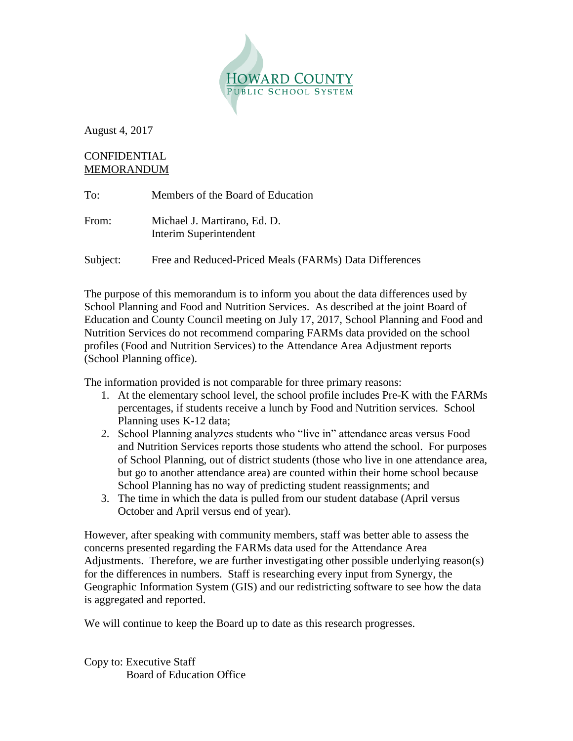

August 4, 2017

### CONFIDENTIAL MEMORANDUM

| To:      | Members of the Board of Education                      |
|----------|--------------------------------------------------------|
| From:    | Michael J. Martirano, Ed. D.<br>Interim Superintendent |
| Subject: | Free and Reduced-Priced Meals (FARMs) Data Differences |

The purpose of this memorandum is to inform you about the data differences used by School Planning and Food and Nutrition Services. As described at the joint Board of Education and County Council meeting on July 17, 2017, School Planning and Food and Nutrition Services do not recommend comparing FARMs data provided on the school profiles (Food and Nutrition Services) to the Attendance Area Adjustment reports (School Planning office).

The information provided is not comparable for three primary reasons:

- 1. At the elementary school level, the school profile includes Pre-K with the FARMs percentages, if students receive a lunch by Food and Nutrition services. School Planning uses K-12 data;
- 2. School Planning analyzes students who "live in" attendance areas versus Food and Nutrition Services reports those students who attend the school. For purposes of School Planning, out of district students (those who live in one attendance area, but go to another attendance area) are counted within their home school because School Planning has no way of predicting student reassignments; and
- 3. The time in which the data is pulled from our student database (April versus October and April versus end of year).

However, after speaking with community members, staff was better able to assess the concerns presented regarding the FARMs data used for the Attendance Area Adjustments. Therefore, we are further investigating other possible underlying reason(s) for the differences in numbers. Staff is researching every input from Synergy, the Geographic Information System (GIS) and our redistricting software to see how the data is aggregated and reported.

We will continue to keep the Board up to date as this research progresses.

Copy to: Executive Staff Board of Education Office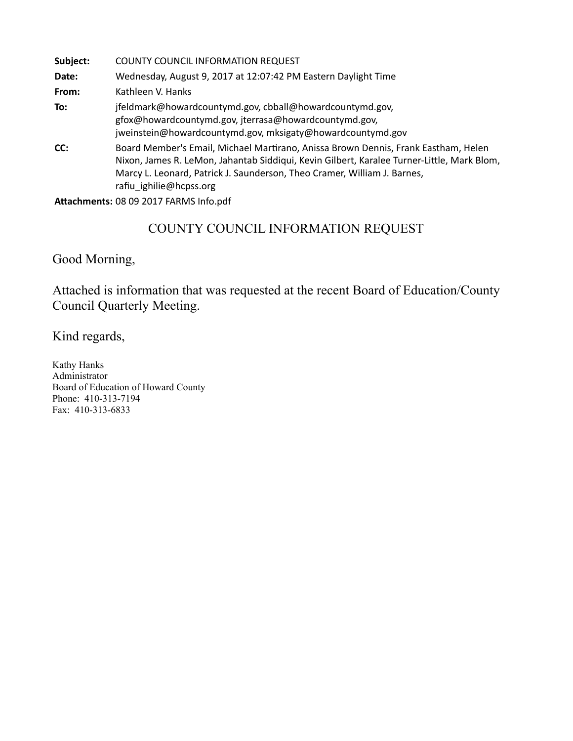| Subject: | <b>COUNTY COUNCIL INFORMATION REQUEST</b>                                                                                                                                                                                                                                               |
|----------|-----------------------------------------------------------------------------------------------------------------------------------------------------------------------------------------------------------------------------------------------------------------------------------------|
| Date:    | Wednesday, August 9, 2017 at 12:07:42 PM Eastern Daylight Time                                                                                                                                                                                                                          |
| From:    | Kathleen V. Hanks                                                                                                                                                                                                                                                                       |
| To:      | jfeldmark@howardcountymd.gov, cbball@howardcountymd.gov,<br>gfox@howardcountymd.gov, jterrasa@howardcountymd.gov,<br>jweinstein@howardcountymd.gov, mksigaty@howardcountymd.gov                                                                                                         |
| CC:      | Board Member's Email, Michael Martirano, Anissa Brown Dennis, Frank Eastham, Helen<br>Nixon, James R. LeMon, Jahantab Siddiqui, Kevin Gilbert, Karalee Turner-Little, Mark Blom,<br>Marcy L. Leonard, Patrick J. Saunderson, Theo Cramer, William J. Barnes,<br>rafiu ighilie@hcpss.org |

#### Attachments: 08 09 2017 FARMS Info.pdf

# COUNTY COUNCIL INFORMATION REQUEST

Good Morning,

Attached is information that was requested at the recent Board of Education/County Council Quarterly Meeting.

Kind regards,

Kathy Hanks Administrator Board of Education of Howard County Phone: 410-313-7194 Fax: 410-313-6833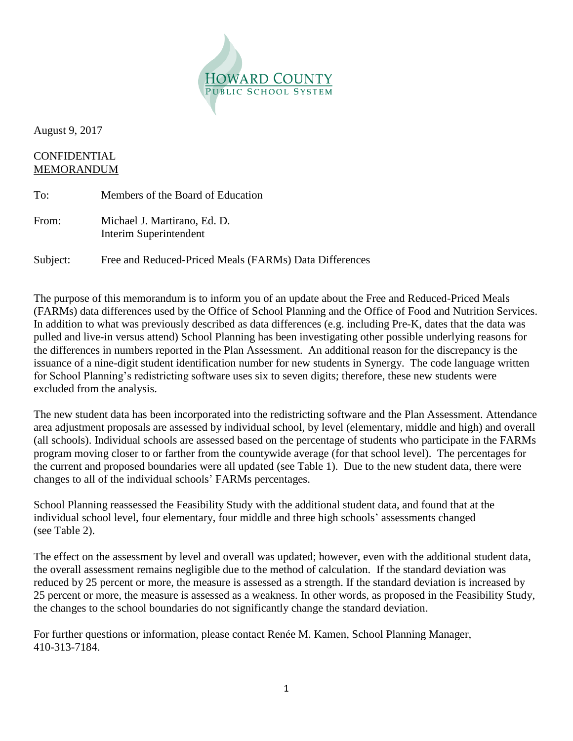

August 9, 2017

#### CONFIDENTIAL MEMORANDUM

| To:      | Members of the Board of Education                      |
|----------|--------------------------------------------------------|
| From:    | Michael J. Martirano, Ed. D.<br>Interim Superintendent |
| Subject: | Free and Reduced-Priced Meals (FARMs) Data Differences |

The purpose of this memorandum is to inform you of an update about the Free and Reduced-Priced Meals (FARMs) data differences used by the Office of School Planning and the Office of Food and Nutrition Services. In addition to what was previously described as data differences (e.g. including Pre-K, dates that the data was pulled and live-in versus attend) School Planning has been investigating other possible underlying reasons for the differences in numbers reported in the Plan Assessment. An additional reason for the discrepancy is the issuance of a nine-digit student identification number for new students in Synergy. The code language written for School Planning's redistricting software uses six to seven digits; therefore, these new students were excluded from the analysis.

The new student data has been incorporated into the redistricting software and the Plan Assessment. Attendance area adjustment proposals are assessed by individual school, by level (elementary, middle and high) and overall (all schools). Individual schools are assessed based on the percentage of students who participate in the FARMs program moving closer to or farther from the countywide average (for that school level). The percentages for the current and proposed boundaries were all updated (see Table 1). Due to the new student data, there were changes to all of the individual schools' FARMs percentages.

School Planning reassessed the Feasibility Study with the additional student data, and found that at the individual school level, four elementary, four middle and three high schools' assessments changed (see Table 2).

The effect on the assessment by level and overall was updated; however, even with the additional student data, the overall assessment remains negligible due to the method of calculation. If the standard deviation was reduced by 25 percent or more, the measure is assessed as a strength. If the standard deviation is increased by 25 percent or more, the measure is assessed as a weakness. In other words, as proposed in the Feasibility Study, the changes to the school boundaries do not significantly change the standard deviation.

For further questions or information, please contact Renée M. Kamen, School Planning Manager, 410-313-7184.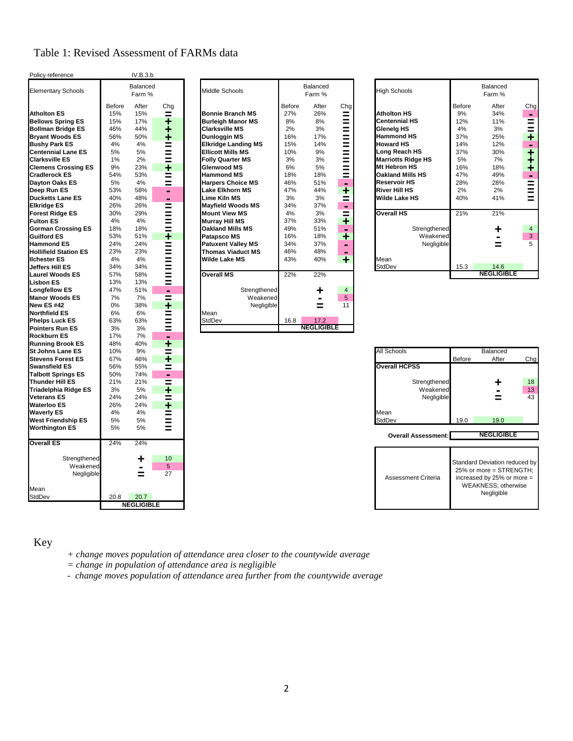## Table 1: Revised Assessment of FARMs data

| Policy reference             |               | IV.B.3.b           |     |                            |        |                    |                      |        |                            |               |                           |
|------------------------------|---------------|--------------------|-----|----------------------------|--------|--------------------|----------------------|--------|----------------------------|---------------|---------------------------|
| <b>Elementary Schools</b>    |               | Balanced<br>Farm % |     | Middle Schools             |        | Balanced<br>Farm % |                      |        | <b>High Schools</b>        |               | Balanced<br>Farm %        |
|                              | <b>Before</b> | After              | Chq |                            | Before | After              | Chg                  |        |                            | <b>Before</b> | After                     |
| <b>Atholton ES</b>           | 15%           | 15%                | ≡   | <b>Bonnie Branch MS</b>    | 27%    | 26%                | Ξ                    |        | <b>Atholton HS</b>         | 9%            | 34%                       |
| <b>Bellows Spring ES</b>     | 15%           | 17%                | ٠   | <b>Burleigh Manor MS</b>   | 8%     | 8%                 | =                    |        | <b>Centennial HS</b>       | 12%           | 11%                       |
| <b>Bollman Bridge ES</b>     | 46%           | 44%                | ٠   | <b>Clarksville MS</b>      | 2%     | 3%                 | $=$                  |        | <b>Glenelg HS</b>          | 4%            | 3%                        |
| <b>Bryant Woods ES</b>       | 56%           | 50%                | ٠   | Dunloggin MS               | 16%    | 17%                | Ξ                    |        | <b>Hammond HS</b>          | 37%           | 25%                       |
| <b>Bushy Park ES</b>         | 4%            | 4%                 | =   | <b>Elkridge Landing MS</b> | 15%    | 14%                |                      |        | <b>Howard HS</b>           | 14%           | 12%                       |
| <b>Centennial Lane ES</b>    | 5%            | 5%                 | $=$ | <b>Ellicott Mills MS</b>   | 10%    | 9%                 | $\equiv$             |        | Long Reach HS              | 37%           | 30%                       |
| <b>Clarksville ES</b>        | 1%            | 2%                 | Ξ   | <b>Folly Quarter MS</b>    | 3%     | 3%                 | =                    |        | <b>Marriotts Ridge HS</b>  | 5%            | 7%                        |
| <b>Clemens Crossing ES</b>   | 9%            | 23%                | ٠   | <b>Glenwood MS</b>         | 6%     | 5%                 | $=$                  |        | <b>Mt Hebron HS</b>        | 16%           | 18%                       |
| <b>Cradlerock ES</b>         | 54%           | 53%                | Ξ   | <b>Hammond MS</b>          | 18%    | 18%                | $\equiv$             |        | <b>Oakland Mills HS</b>    | 47%           | 49%                       |
| <b>Dayton Oaks ES</b>        | 5%            | 4%                 | Ξ   | <b>Harpers Choice MS</b>   | 46%    | 51%                | ۰                    |        | <b>Reservoir HS</b>        | 28%           | 28%                       |
| Deep Run ES                  | 53%           | 58%                | -   | Lake Elkhorn MS            | 47%    | 44%                | ÷                    |        | <b>River Hill HS</b>       | 2%            | 2%                        |
| <b>Ducketts Lane ES</b>      | 40%           | 48%                | -   | Lime Kiln MS               | 3%     | 3%                 | Ξ                    |        | <b>Wilde Lake HS</b>       | 40%           | 41%                       |
| <b>Elkridge ES</b>           | 26%           | 26%                |     | <b>Mayfield Woods MS</b>   | 34%    | 37%                |                      |        |                            |               |                           |
| <b>Forest Ridge ES</b>       | 30%           | 29%                | =   | <b>Mount View MS</b>       | 4%     | 3%                 | ۰                    |        | <b>Overall HS</b>          | 21%           | 21%                       |
| <b>Fulton ES</b>             | 4%            | 4%                 | Ξ   | <b>Murray Hill MS</b>      | 37%    | 33%                | Ξ                    |        |                            |               |                           |
| <b>Gorman Crossing ES</b>    | 18%           | 18%                | Ξ   | <b>Oakland Mills MS</b>    | 49%    | 51%                | $\ddot{\phantom{1}}$ |        | Strengthened               |               |                           |
| <b>Guilford ES</b>           | 53%           |                    | $=$ |                            | 16%    | 18%                | $\blacksquare$       |        | Weakened                   |               |                           |
|                              |               | 51%                | ÷   | <b>Patapsco MS</b>         |        |                    | ٠                    |        |                            |               |                           |
| <b>Hammond ES</b>            | 24%           | 24%                | Ξ   | <b>Patuxent Valley MS</b>  | 34%    | 37%                | -                    |        | Negligible                 |               | ≡                         |
| <b>Hollifield Station ES</b> | 23%           | 23%                | Ξ   | <b>Thomas Viaduct MS</b>   | 46%    | 48%                | $\blacksquare$       |        |                            |               |                           |
| <b>Ilchester ES</b>          | 4%            | 4%                 | Ξ   | <b>Wilde Lake MS</b>       | 43%    | 40%                | ٠                    | Mean   |                            |               |                           |
| <b>Jeffers Hill ES</b>       | 34%           | 34%                | =   |                            |        |                    |                      |        | <b>StdDev</b>              | 15.3          | 14.6<br><b>NEGLIGIBLE</b> |
| <b>Laurel Woods ES</b>       | 57%           | 58%                | $=$ | <b>Overall MS</b>          | 22%    | 22%                |                      |        |                            |               |                           |
| <b>Lisbon ES</b>             | 13%           | 13%                | Ξ   |                            |        |                    |                      |        |                            |               |                           |
| <b>Longfellow ES</b>         | 47%           | 51%                | ۰   | Strengthened               |        | ╇                  | 4                    |        |                            |               |                           |
| <b>Manor Woods ES</b>        | 7%            | 7%                 | Ξ   | Weakened                   |        | $\blacksquare$     | 5                    |        |                            |               |                           |
| <b>New ES#42</b>             | 0%            | 38%                | ÷   | Negligible                 |        | =                  | 11                   |        |                            |               |                           |
| <b>Northfield ES</b>         | 6%            | 6%                 | =   | Mean                       |        |                    |                      |        |                            |               |                           |
| <b>Phelps Luck ES</b>        | 63%           | 63%                | Ξ   | <b>StdDev</b>              | 16.8   | 17.2               |                      |        |                            |               |                           |
| <b>Pointers Run ES</b>       | 3%            | 3%                 | =   |                            |        | <b>NEGLIGIBLE</b>  |                      |        |                            |               |                           |
| <b>Rockburn ES</b>           | 17%           | 7%                 | ۰   |                            |        |                    |                      |        |                            |               |                           |
| <b>Running Brook ES</b>      | 48%           | 40%                | ۰   |                            |        |                    |                      |        |                            |               |                           |
| <b>St Johns Lane ES</b>      | 10%           | 9%                 | =   |                            |        |                    |                      |        | All Schools                |               | Balanced                  |
| <b>Stevens Forest ES</b>     | 67%           | 46%                | ٠   |                            |        |                    |                      |        |                            | <b>Before</b> | After                     |
| <b>Swansfield ES</b>         | 56%           | 55%                | Ξ   |                            |        |                    |                      |        | <b>Overall HCPSS</b>       |               |                           |
| <b>Talbott Springs ES</b>    | 50%           | 74%                | ۰   |                            |        |                    |                      |        |                            |               |                           |
| <b>Thunder Hill ES</b>       | 21%           | 21%                | Ξ   |                            |        |                    |                      |        | Strengthened               |               |                           |
| <b>Triadelphia Ridge ES</b>  | 3%            | 5%                 | ٠   |                            |        |                    |                      |        | Weakened                   |               |                           |
| <b>Veterans ES</b>           | 24%           | 24%                | $=$ |                            |        |                    |                      |        | Negligible                 |               | =                         |
| <b>Waterloo ES</b>           | 26%           | 24%                | ٠   |                            |        |                    |                      |        |                            |               |                           |
| <b>Waverly ES</b>            | 4%            | 4%                 | =   |                            |        |                    |                      | Mean   |                            |               |                           |
| <b>West Friendship ES</b>    | 5%            | 5%                 | Ξ   |                            |        |                    |                      | StdDev |                            | 19.0          | 19.0                      |
| <b>Worthington ES</b>        | 5%            | 5%                 | Ξ   |                            |        |                    |                      |        |                            |               |                           |
|                              |               |                    |     |                            |        |                    |                      |        | <b>Overall Assessment:</b> |               | <b>NEGLIGIBLE</b>         |
| <b>Overall ES</b>            | 24%           | 24%                |     |                            |        |                    |                      |        |                            |               |                           |
| Strengthened                 |               | ٠                  | 10  |                            |        |                    |                      |        |                            |               | Standard Deviation redu   |
| Weakened                     |               |                    | 5   |                            |        |                    |                      |        |                            |               | 25% or more = STREN       |
| Negligible                   |               | =                  | 27  |                            |        |                    |                      |        | Assessment Criteria        |               | increased by 25% or m     |
|                              |               |                    |     |                            |        |                    |                      |        |                            |               | <b>WEAKNESS; otherw</b>   |
| Mean                         |               |                    |     |                            |        |                    |                      |        |                            |               | Negligible                |
| <b>StdDev</b>                | 20.8          | 20.7               |     |                            |        |                    |                      |        |                            |               |                           |
|                              |               | <b>NEGLIGIBLE</b>  |     |                            |        |                    |                      |        |                            |               |                           |

|        | Farm % |                | Middle Schools                        |                   | Farm %                                        |                         | <b>High Schools</b>       |        | Balanced<br>Farm %                                                  |
|--------|--------|----------------|---------------------------------------|-------------------|-----------------------------------------------|-------------------------|---------------------------|--------|---------------------------------------------------------------------|
| Before | After  | Cha            |                                       | Before            | After                                         |                         |                           | Before | After                                                               |
| 15%    | 15%    |                | <b>Bonnie Branch MS</b>               | 27%               | 26%                                           |                         | <b>Atholton HS</b>        | 9%     | 34%                                                                 |
| 15%    | 17%    |                | <b>Burleigh Manor MS</b>              | 8%                | 8%                                            |                         | <b>Centennial HS</b>      | 12%    | 11%                                                                 |
| 46%    | 44%    | ÷              | <b>Clarksville MS</b>                 | 2%                | 3%                                            |                         | <b>Glenelg HS</b>         | 4%     | 3%                                                                  |
| 56%    | 50%    | ÷.             | <b>Dunloggin MS</b>                   | 16%               | 17%                                           | =                       | <b>Hammond HS</b>         | 37%    | 25%                                                                 |
| 4%     | 4%     | ≡              | <b>Elkridge Landing MS</b>            | 15%               | 14%                                           | =                       | <b>Howard HS</b>          | 14%    | 12%                                                                 |
| 5%     | 5%     | =              | <b>Ellicott Mills MS</b>              | 10%               | 9%                                            | =                       | Long Reach HS             | 37%    | 30%                                                                 |
| 1%     | 2%     | $=$            | <b>Folly Quarter MS</b>               | 3%                | 3%                                            | $\equiv$                |                           | 5%     | 7%                                                                  |
| 9%     | 23%    | ÷              | <b>Glenwood MS</b>                    | 6%                | 5%                                            | =                       | Mt Hebron HS              | 16%    | 18%                                                                 |
| 54%    | 53%    | =              | <b>Hammond MS</b>                     | 18%               | 18%                                           | =                       | <b>Oakland Mills HS</b>   | 47%    | 49%                                                                 |
| 5%     | 4%     | $=$            | <b>Harpers Choice MS</b>              | 46%               | 51%                                           | ۰                       | <b>Reservoir HS</b>       | 28%    | 28%                                                                 |
| 53%    | 58%    | ۰.             | Lake Elkhorn MS                       | 47%               | 44%                                           | ٠                       | <b>River Hill HS</b>      | 2%     | 2%                                                                  |
| 40%    | 48%    | $\blacksquare$ | Lime Kiln MS                          | 3%                | 3%                                            | =                       | Wilde Lake HS             | 40%    | 41%                                                                 |
| 26%    | 26%    | Ξ              | <b>Mavfield Woods MS</b>              | 34%               | 37%                                           | ٠                       |                           |        |                                                                     |
| 30%    | 29%    |                | <b>Mount View MS</b>                  | 4%                | 3%                                            | $\equiv$                | <b>Overall HS</b>         | 21%    | 21%                                                                 |
| 4%     | 4%     | =              | <b>Murray Hill MS</b>                 | 37%               | 33%                                           | ÷                       |                           |        |                                                                     |
| 18%    | 18%    | =              | <b>Oakland Mills MS</b>               | 49%               | 51%                                           | $\blacksquare$          |                           |        |                                                                     |
| 53%    | 51%    | ÷.             | <b>Patapsco MS</b>                    | 16%               | 18%                                           | ٠                       |                           |        |                                                                     |
| 24%    | 24%    | ≡              | <b>Patuxent Valley MS</b>             | 34%               | 37%                                           | $\blacksquare$          |                           |        |                                                                     |
| 23%    | 23%    | $=$            | <b>Thomas Viaduct MS</b>              | 46%               | 48%                                           | $\blacksquare$          |                           |        |                                                                     |
| 4%     | 4%     |                | <b>Wilde Lake MS</b>                  | 43%               | 40%                                           | ٠                       | Mean                      |        |                                                                     |
| 34%    | 34%    | =              |                                       |                   |                                               |                         | <b>StdDev</b>             | 15.3   | 14.6                                                                |
| 57%    | 58%    | =              |                                       |                   |                                               |                         |                           |        | <b>NEGLIGIBLE</b>                                                   |
| 13%    | 13%    | $=$            |                                       |                   |                                               |                         |                           |        |                                                                     |
| 47%    |        | $\blacksquare$ |                                       |                   | ╋                                             | $\overline{4}$          |                           |        |                                                                     |
| 7%     | 7%     | ≡              |                                       |                   | -                                             | 5                       |                           |        |                                                                     |
| 0%     | 38%    | ٠              |                                       |                   | $=$                                           | 11                      |                           |        |                                                                     |
| 6%     | 6%     | =              | Mean                                  |                   |                                               |                         |                           |        |                                                                     |
| 63%    | 63%    | =              | <b>StdDev</b>                         | 16.8              |                                               |                         |                           |        |                                                                     |
|        |        | 51%            | Balanced<br>=<br>٠<br>$\equiv$<br>$=$ | <b>Overall MS</b> | 22%<br>Strengthened<br>Weakened<br>Negligible | Balanced<br>22%<br>17.2 | Chg<br>=<br>Ξ<br>$\equiv$ |        | <b>Marriotts Ridge HS</b><br>Strengthened<br>Weakened<br>Negligible |

| <b>Elementary Schools</b>    | Balanced<br>Farm % |       |                | Middle Schools             | Balanced<br>Farm % |       |                |  | <b>High Schools</b>       | Balanced<br>Farm % |                   |                |
|------------------------------|--------------------|-------|----------------|----------------------------|--------------------|-------|----------------|--|---------------------------|--------------------|-------------------|----------------|
|                              | Before             | After | Cha            |                            | Before             | After | Chg            |  |                           | Before             | After             | Chg            |
| <b>Atholton ES</b>           | 15%                | 15%   | =              | Bonnie Branch MS           | 27%                | 26%   | =              |  | <b>Atholton HS</b>        | 9%                 | 34%               | ۰              |
| <b>Bellows Spring ES</b>     | 15%                | 17%   | ٠              | <b>Burleigh Manor MS</b>   | 8%                 | 8%    | =              |  | <b>Centennial HS</b>      | 12%                | 11%               | =              |
| <b>Bollman Bridge ES</b>     | 46%                | 44%   | ÷              | Clarksville MS             | 2%                 | 3%    | Ξ              |  | <b>Glenelg HS</b>         | 4%                 | 3%                |                |
| <b>Bryant Woods ES</b>       | 56%                | 50%   | ٠              | Dunloggin MS               | 16%                | 17%   | =              |  | <b>Hammond HS</b>         | 37%                | 25%               | ٠              |
| <b>Bushy Park ES</b>         | 4%                 | 4%    | =              | <b>Elkridge Landing MS</b> | 15%                | 14%   | =              |  | <b>Howard HS</b>          | 14%                | 12%               | -              |
| <b>Centennial Lane ES</b>    | 5%                 | 5%    | $=$            | <b>Ellicott Mills MS</b>   | 10%                | 9%    | =              |  | Long Reach HS             | 37%                | 30%               | ٠              |
| <b>Clarksville ES</b>        | 1%                 | 2%    | Ξ              | <b>Folly Quarter MS</b>    | 3%                 | 3%    | =              |  | <b>Marriotts Ridge HS</b> | 5%                 | 7%                |                |
| <b>Clemens Crossing ES</b>   | 9%                 | 23%   | ٠              | <b>Glenwood MS</b>         | 6%                 | 5%    | =              |  | <b>Mt Hebron HS</b>       | 16%                | 18%               | ÷              |
| Cradlerock ES                | 54%                | 53%   | =              | <b>Hammond MS</b>          | 18%                | 18%   | =              |  | <b>Oakland Mills HS</b>   | 47%                | 49%               | $\blacksquare$ |
| Dayton Oaks ES               | 5%                 | 4%    | Ξ              | <b>Harpers Choice MS</b>   | 46%                | 51%   | ۰              |  | <b>Reservoir HS</b>       | 28%                | 28%               | =              |
| Deep Run ES                  | 53%                | 58%   | $\blacksquare$ | <b>Lake Elkhorn MS</b>     | 47%                | 44%   | ÷              |  | <b>River Hill HS</b>      | 2%                 | 2%                | =              |
| <b>Ducketts Lane ES</b>      | 40%                | 48%   | ۰              | Lime Kiln MS               | 3%                 | 3%    | =              |  | <b>Wilde Lake HS</b>      | 40%                | 41%               |                |
| Elkridge ES                  | 26%                | 26%   | Ξ              | <b>Mayfield Woods MS</b>   | 34%                | 37%   | ٠              |  |                           |                    |                   |                |
| <b>Forest Ridge ES</b>       | 30%                | 29%   | =              | <b>Mount View MS</b>       | 4%                 | 3%    | $\equiv$       |  | <b>Overall HS</b>         | 21%                | 21%               |                |
| <b>Fulton ES</b>             | 4%                 | 4%    | =              | <b>Murray Hill MS</b>      | 37%                | 33%   | ۰              |  |                           |                    |                   |                |
| <b>Gorman Crossing ES</b>    | 18%                | 18%   | =              | <b>Oakland Mills MS</b>    | 49%                | 51%   | ۰              |  | Strengthened              |                    |                   | $\overline{4}$ |
| <b>Guilford ES</b>           | 53%                | 51%   | ٠              | <b>Patapsco MS</b>         | 16%                | 18%   | ٠              |  | Weakened                  |                    |                   | $\mathbf{3}$   |
| <b>Hammond ES</b>            | 24%                | 24%   | =              | <b>Patuxent Valley MS</b>  | 34%                | 37%   |                |  | Negligible                |                    |                   | 5              |
| <b>Hollifield Station ES</b> | 23%                | 23%   | Ξ              | <b>Thomas Viaduct MS</b>   | 46%                | 48%   | $\blacksquare$ |  |                           |                    |                   |                |
| <b>Ilchester ES</b>          | 4%                 | 4%    | $=$            | <b>Wilde Lake MS</b>       | 43%                | 40%   | ٠              |  | Mean                      |                    |                   |                |
| Jeffers Hill ES              | 34%                | 34%   | Ξ              |                            |                    |       |                |  | StdDev                    | 15.3               | 14.6              |                |
| <b>Laurel Woods ES</b>       | 57%                | 58%   | =              | <b>Overall MS</b>          | 22%                | 22%   |                |  |                           |                    | <b>NEGLIGIBLE</b> |                |

|                           | $\cdot$ | $\cdot$ $\cdot$ $\cdot$ | --             |                      |        |                |     |
|---------------------------|---------|-------------------------|----------------|----------------------|--------|----------------|-----|
| <b>St Johns Lane ES</b>   | 10%     | 9%                      | =              | All Schools          |        | Balanced       |     |
| <b>Stevens Forest ES</b>  | 67%     | 46%                     | ┸              |                      | Before | After          | Chg |
| <b>Swansfield ES</b>      | 56%     | 55%                     | =              | <b>Overall HCPSS</b> |        |                |     |
| <b>Talbott Springs ES</b> | 50%     | 74%                     | $\blacksquare$ |                      |        |                |     |
| <b>Thunder Hill ES</b>    | 21%     | 21%                     | =              | Strengthened         |        |                | 18  |
| Triadelphia Ridge ES      | 3%      | 5%                      | ۰              | Weakened             |        | $\blacksquare$ | 13  |
| <b>Veterans ES</b>        | 24%     | 24%                     | $=$            | Negligible           |        | ⋍              | 43  |
| Waterloo ES               | 26%     | 24%                     | ┿              |                      |        |                |     |
| <b>Waverly ES</b>         | 4%      | 4%                      | =              | Mean                 |        |                |     |
| West Friendship ES        | 5%      | 5%                      | $\equiv$       | <b>StdDev</b>        | 19.0   | 19.0           |     |
| Wanthington CC            | E0/     | E0/                     |                |                      |        |                |     |

| Assessment Criteria | Standard Deviation reduced by<br>25% or more = STRENGTH;<br>increased by 25% or more =<br><b>WEAKNESS</b> ; otherwise<br>Negligible |
|---------------------|-------------------------------------------------------------------------------------------------------------------------------------|
|---------------------|-------------------------------------------------------------------------------------------------------------------------------------|

### Key

- *+ change moves population of attendance area closer to the countywide average*
- *= change in population of attendance area is negligible*
- *change moves population of attendance area further from the countywide average*